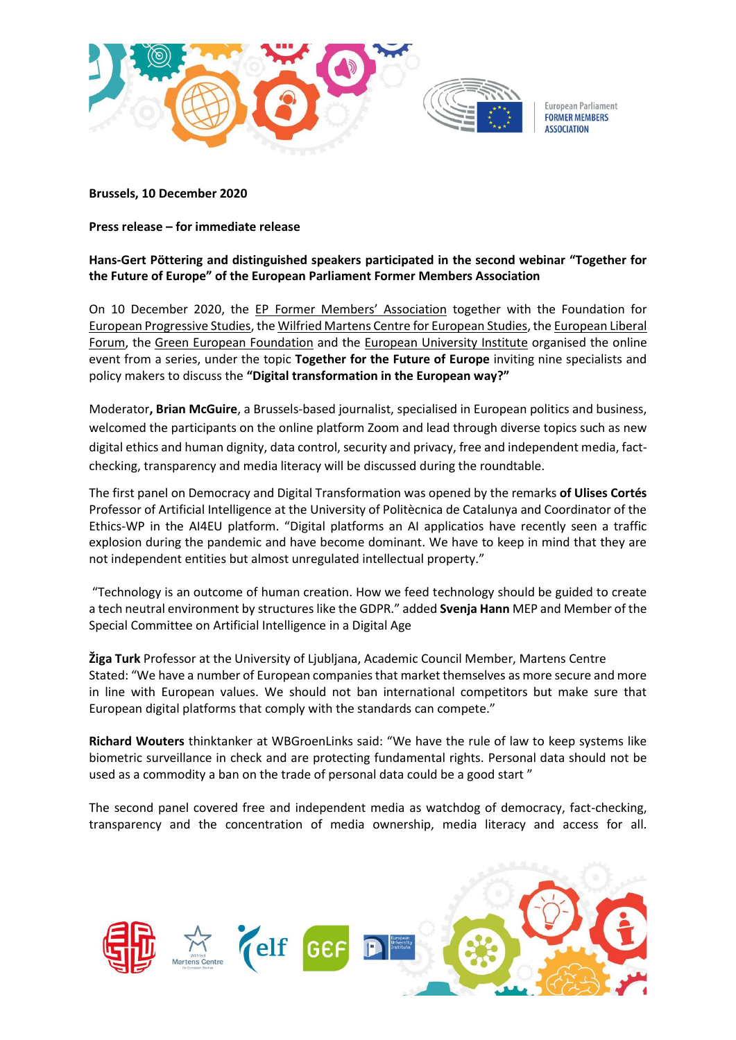

**Brussels, 10 December 2020**

**Press release – for immediate release**

## **Hans-Gert Pöttering and distinguished speakers participated in the second webinar "Together for the Future of Europe" of the European Parliament Former Members Association**

On 10 December 2020, the EP [Former Members' Association](https://www.formermembers.eu/) together with the Foundation for [European Progressive Studies,](https://www.feps-europe.eu/) th[e Wilfried Martens Centre for European Studies,](https://martenscentre.eu/) th[e European Liberal](https://www.liberalforum.eu/)  [Forum,](https://www.liberalforum.eu/) the [Green European Foundation](https://gef.eu/) and the [European University Institute](https://www.eui.eu/) organised the online event from a series, under the topic **Together for the Future of Europe** inviting nine specialists and policy makers to discuss the **"Digital transformation in the European way?"**

Moderator**, Brian McGuire**, a Brussels-based journalist, specialised in European politics and business, welcomed the participants on the online platform Zoom and lead through diverse topics such as new digital ethics and human dignity, data control, security and privacy, free and independent media, factchecking, transparency and media literacy will be discussed during the roundtable.

The first panel on Democracy and Digital Transformation was opened by the remarks **of Ulises Cortés** Professor of Artificial Intelligence at the University of Politècnica de Catalunya and Coordinator of the Ethics-WP in the AI4EU platform. "Digital platforms an AI applicatios have recently seen a traffic explosion during the pandemic and have become dominant. We have to keep in mind that they are not independent entities but almost unregulated intellectual property."

"Technology is an outcome of human creation. How we feed technology should be guided to create a tech neutral environment by structures like the GDPR." added **Svenja Hann** MEP and Member of the Special Committee on Artificial Intelligence in a Digital Age

**Žiga Turk** Professor at the University of Ljubljana, Academic Council Member, Martens Centre Stated: "We have a number of European companies that market themselves as more secure and more in line with European values. We should not ban international competitors but make sure that European digital platforms that comply with the standards can compete."

**Richard Wouters** thinktanker at WBGroenLinks said: "We have the rule of law to keep systems like biometric surveillance in check and are protecting fundamental rights. Personal data should not be used as a commodity a ban on the trade of personal data could be a good start "

The second panel covered free and independent media as watchdog of democracy, fact-checking, transparency and the concentration of media ownership, media literacy and access for all.

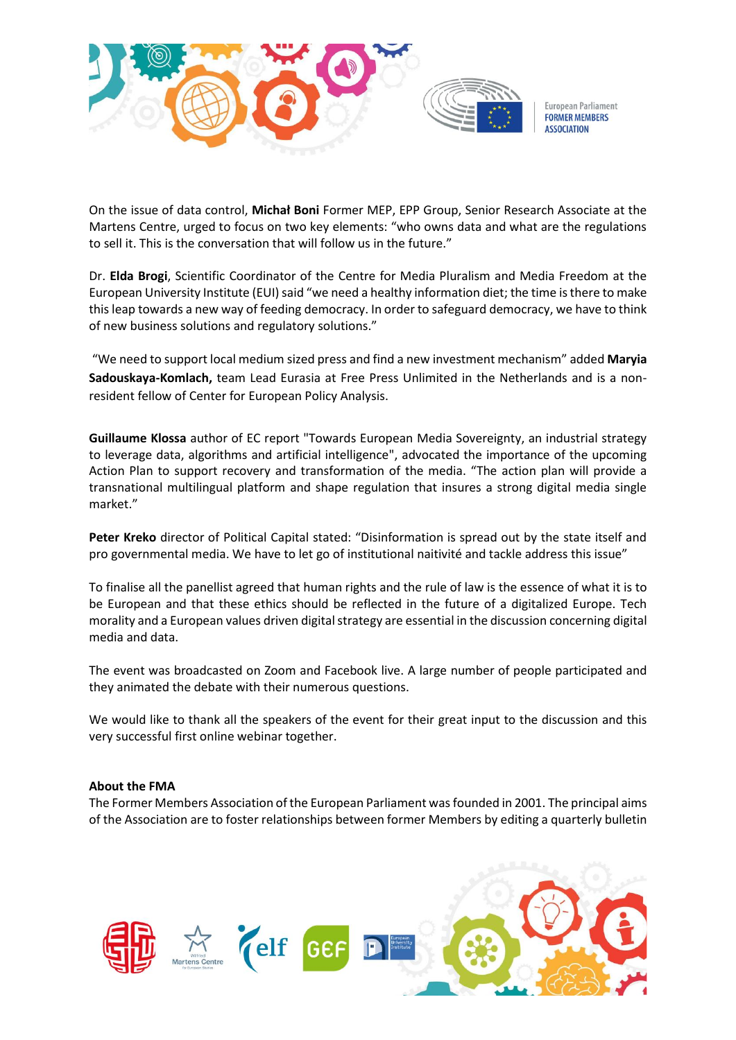

On the issue of data control, **Michał Boni** Former MEP, EPP Group, Senior Research Associate at the Martens Centre, urged to focus on two key elements: "who owns data and what are the regulations to sell it. This is the conversation that will follow us in the future."

Dr. **Elda Brogi**, Scientific Coordinator of the Centre for Media Pluralism and Media Freedom at the European University Institute (EUI) said "we need a healthy information diet; the time is there to make this leap towards a new way of feeding democracy. In order to safeguard democracy, we have to think of new business solutions and regulatory solutions."

"We need to support local medium sized press and find a new investment mechanism" added **Maryia Sadouskaya-Komlach,** team Lead Eurasia at Free Press Unlimited in the Netherlands and is a nonresident fellow of Center for European Policy Analysis.

**Guillaume Klossa** author of EC report "Towards European Media Sovereignty, an industrial strategy to leverage data, algorithms and artificial intelligence", advocated the importance of the upcoming Action Plan to support recovery and transformation of the media. "The action plan will provide a transnational multilingual platform and shape regulation that insures a strong digital media single market."

**Peter Kreko** director of Political Capital stated: "Disinformation is spread out by the state itself and pro governmental media. We have to let go of institutional naitivité and tackle address this issue"

To finalise all the panellist agreed that human rights and the rule of law is the essence of what it is to be European and that these ethics should be reflected in the future of a digitalized Europe. Tech morality and a European values driven digital strategy are essential in the discussion concerning digital media and data.

The event was broadcasted on Zoom and Facebook live. A large number of people participated and they animated the debate with their numerous questions.

We would like to thank all the speakers of the event for their great input to the discussion and this very successful first online webinar together.

## **About the FMA**

The Former Members Association of the European Parliament was founded in 2001. The principal aims of the Association are to foster relationships between former Members by editing a quarterly bulletin